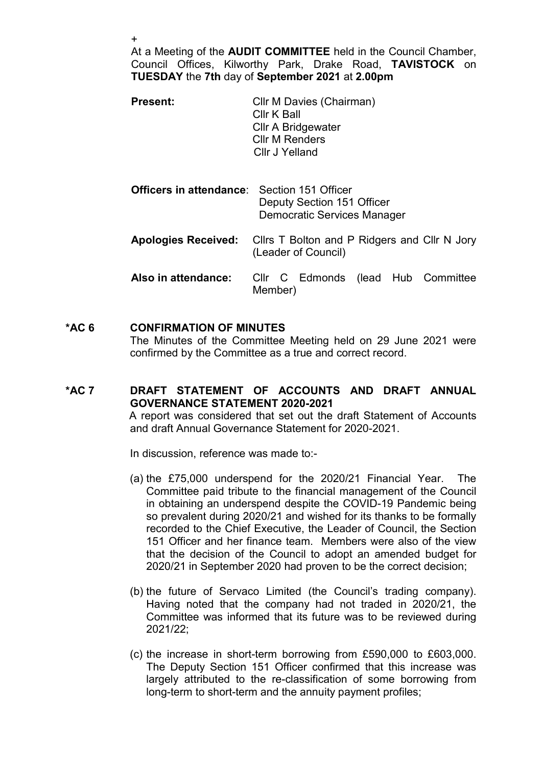+

At a Meeting of the AUDIT COMMITTEE held in the Council Chamber, Council Offices, Kilworthy Park, Drake Road, TAVISTOCK on TUESDAY the 7th day of September 2021 at 2.00pm

| <b>Present:</b> | Cllr M Davies (Chairman)  |
|-----------------|---------------------------|
|                 | Cllr K Ball               |
|                 | <b>CIIr A Bridgewater</b> |
|                 | <b>Cllr M Renders</b>     |
|                 | Cllr J Yelland            |
|                 |                           |

| <b>Officers in attendance:</b> Section 151 Officer | Deputy Section 151 Officer<br><b>Democratic Services Manager</b>                               |
|----------------------------------------------------|------------------------------------------------------------------------------------------------|
|                                                    | <b>Apologies Received:</b> Clirs T Bolton and P Ridgers and Clir N Jory<br>(Leader of Council) |
| Also in attendance:                                | Cllr C Edmonds (lead Hub Committee<br>Member)                                                  |

## \*AC 6 CONFIRMATION OF MINUTES The Minutes of the Committee Meeting held on 29 June 2021 were confirmed by the Committee as a true and correct record.

## \*AC 7 DRAFT STATEMENT OF ACCOUNTS AND DRAFT ANNUAL GOVERNANCE STATEMENT 2020-2021

 A report was considered that set out the draft Statement of Accounts and draft Annual Governance Statement for 2020-2021.

In discussion, reference was made to:-

- (a) the £75,000 underspend for the 2020/21 Financial Year. The Committee paid tribute to the financial management of the Council in obtaining an underspend despite the COVID-19 Pandemic being so prevalent during 2020/21 and wished for its thanks to be formally recorded to the Chief Executive, the Leader of Council, the Section 151 Officer and her finance team. Members were also of the view that the decision of the Council to adopt an amended budget for 2020/21 in September 2020 had proven to be the correct decision;
- (b) the future of Servaco Limited (the Council's trading company). Having noted that the company had not traded in 2020/21, the Committee was informed that its future was to be reviewed during 2021/22;
- (c) the increase in short-term borrowing from £590,000 to £603,000. The Deputy Section 151 Officer confirmed that this increase was largely attributed to the re-classification of some borrowing from long-term to short-term and the annuity payment profiles;